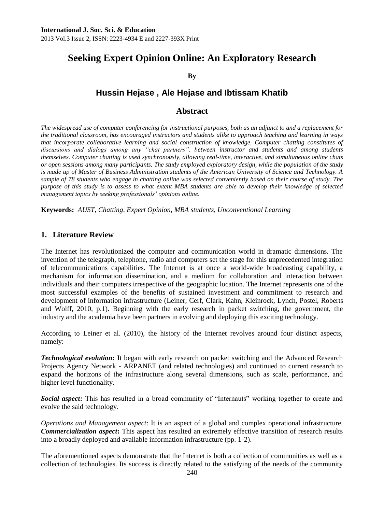2013 Vol.3 Issue 2, ISSN: 2223-4934 E and 2227-393X Print

# **Seeking Expert Opinion Online: An Exploratory Research**

**By**

## **Hussin Hejase , Ale Hejase and Ibtissam Khatib**

## **Abstract**

*The widespread use of computer conferencing for instructional purposes, both as an adjunct to and a replacement for the traditional classroom, has encouraged instructors and students alike to approach teaching and learning in ways that incorporate collaborative learning and social construction of knowledge. Computer chatting constitutes of discussions and dialogs among any "chat partners", between instructor and students and among students themselves. Computer chatting is used synchronously, allowing real-time, interactive, and simultaneous online chats or open sessions among many participants. The study employed exploratory design, while the population of the study is made up of Master of Business Administration students of the American University of Science and Technology. A sample of 78 students who engage in chatting online was selected conveniently based on their course of study. The purpose of this study is to assess to what extent MBA students are able to develop their knowledge of selected management topics by seeking professionals' opinions online.* 

**Keywords:** *AUST, Chatting, Expert Opinion, MBA students, Unconventional Learning*

## **1. Literature Review**

The Internet has revolutionized the computer and communication world in dramatic dimensions. The invention of the telegraph, telephone, radio and computers set the stage for this unprecedented integration of telecommunications capabilities. The Internet is at once a world-wide broadcasting capability, a mechanism for information dissemination, and a medium for collaboration and interaction between individuals and their computers irrespective of the geographic location. The Internet represents one of the most successful examples of the benefits of sustained investment and commitment to research and development of information infrastructure [\(Leiner,](http://www.isoc.org/internet/history/brief.shtml#leiner#leiner) [Cerf,](http://www.isoc.org/internet/history/brief.shtml#cerf#cerf) [Clark,](http://www.isoc.org/internet/history/brief.shtml#clark#clark) [Kahn,](http://www.isoc.org/internet/history/brief.shtml#kahn#kahn) [Kleinrock,](http://www.isoc.org/internet/history/brief.shtml#kleinrock#kleinrock) [Lynch,](http://www.isoc.org/internet/history/brief.shtml#lynch#lynch) [Postel,](http://www.isoc.org/internet/history/brief.shtml#postel#postel) [Roberts](http://www.isoc.org/internet/history/brief.shtml#roberts#roberts) and [Wolff,](http://www.isoc.org/internet/history/brief.shtml#wolff#wolff) 2010, p.1). Beginning with the early research in packet switching, the government, the industry and the academia have been partners in evolving and deploying this exciting technology.

According to Leiner et al. (2010), the history of the Internet revolves around four distinct aspects, namely:

*Technological evolution***:** It began with early research on packet switching and the Advanced Research Projects Agency Network - ARPANET (and related technologies) and continued to current research to expand the horizons of the infrastructure along several dimensions, such as scale, performance, and higher level functionality.

**Social aspect:** This has resulted in a broad community of "Internauts" working together to create and evolve the said technology.

*Operations and Management aspect*: It is an aspect of a global and complex operational infrastructure. *Commercialization aspect***:** This aspect has resulted an extremely effective transition of research results into a broadly deployed and available information infrastructure (pp. 1-2).

The aforementioned aspects demonstrate that the Internet is both a collection of communities as well as a collection of technologies. Its success is directly related to the satisfying of the needs of the community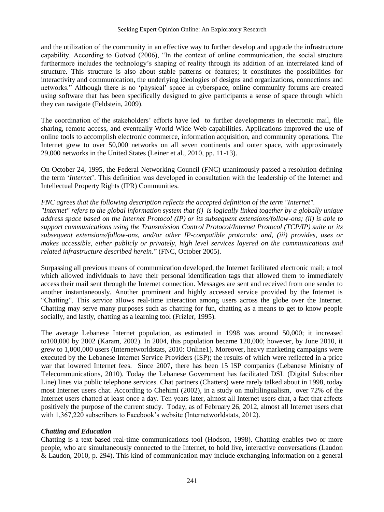and the utilization of the community in an effective way to further develop and upgrade the infrastructure capability. According to Gotved (2006), "In the context of online communication, the social structure furthermore includes the technology's shaping of reality through its addition of an interrelated kind of structure. This structure is also about stable patterns or features; it constitutes the possibilities for interactivity and communication, the underlying ideologies of designs and organizations, connections and networks." Although there is no 'physical' space in cyberspace, online community forums are created using software that has been specifically designed to give participants a sense of space through which they can navigate (Feldstein, 2009).

The coordination of the stakeholders' efforts have led to further developments in electronic mail, file sharing, remote access, and eventually World Wide Web capabilities. Applications improved the use of online tools to accomplish electronic commerce, information acquisition, and community operations. The Internet grew to over 50,000 networks on all seven continents and outer space, with approximately 29,000 networks in the United States (Leiner et al., 2010, pp. 11-13).

On October 24, 1995, the Federal Networking Council (FNC) unanimously passed a resolution defining the term ‗*Internet*'. This definition was developed in consultation with the leadership of the Internet and Intellectual Property Rights (IPR) Communities.

*FNC agrees that the following description reflects the accepted definition of the term "Internet". "Internet" refers to the global information system that (i) is logically linked together by a globally unique address space based on the Internet Protocol (IP) or its subsequent extensions/follow-ons; (ii) is able to support communications using the Transmission Control Protocol/Internet Protocol (TCP/IP) suite or its subsequent extensions/follow-ons, and/or other IP-compatible protocols; and, (iii) provides, uses or makes accessible, either publicly or privately, high level services layered on the communications and related infrastructure described herein.*‖ (FNC, October 2005).

Surpassing all previous means of communication developed, the Internet facilitated electronic mail; a tool which allowed individuals to have their personal identification tags that allowed them to immediately access their mail sent through the Internet connection. Messages are sent and received from one sender to another instantaneously. Another prominent and highly accessed service provided by the Internet is ―Chatting‖. This service allows real-time interaction among users across the globe over the Internet. Chatting may serve many purposes such as chatting for fun, chatting as a means to get to know people socially, and lastly, chatting as a learning tool (Frizler, 1995).

The average Lebanese Internet population, as estimated in 1998 was around 50,000; it increased to100,000 by 2002 (Karam, 2002). In 2004, this population became 120,000; however, by June 2010, it grew to 1,000,000 users (Internetworldstats, 2010: Online1). Moreover, heavy marketing campaigns were executed by the Lebanese Internet Service Providers (ISP); the results of which were reflected in a price war that lowered Internet fees. Since 2007, there has been 15 ISP companies (Lebanese Ministry of Telecommunications, 2010). Today the Lebanese Government has facilitated DSL (Digital Subscriber Line) lines via public telephone services. Chat partners (Chatters) were rarely talked about in 1998, today most Internet users chat. According to Chehimi (2002), in a study on multilingualism, over 72% of the Internet users chatted at least once a day. Ten years later, almost all Internet users chat, a fact that affects positively the purpose of the current study. Today, as of February 26, 2012, almost all Internet users chat with 1,367,220 subscribers to Facebook's website (Internetworldstats, 2012).

#### *Chatting and Education*

Chatting is a text-based real-time communications tool (Hodson, 1998). Chatting enables two or more people, who are simultaneously connected to the Internet, to hold live, interactive conversations (Laudon & Laudon, 2010, p. 294). This kind of communication may include exchanging information on a general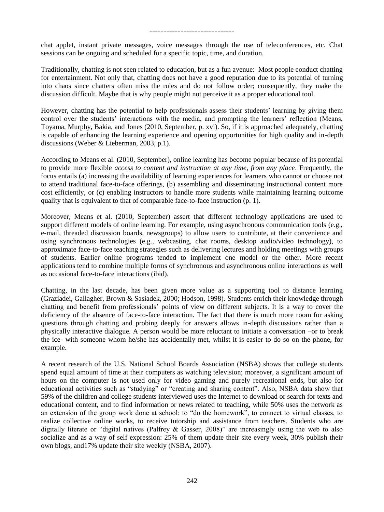chat applet, instant private messages, voice messages through the use of teleconferences, etc. Chat sessions can be ongoing and scheduled for a specific topic, time, and duration.

Traditionally, chatting is not seen related to education, but as a fun avenue: Most people conduct chatting for entertainment. Not only that, chatting does not have a good reputation due to its potential of turning into chaos since chatters often miss the rules and do not follow order; consequently, they make the discussion difficult. Maybe that is why people might not perceive it as a proper educational tool.

However, chatting has the potential to help professionals assess their students' learning by giving them control over the students' interactions with the media, and prompting the learners' reflection (Means, Toyama, Murphy, Bakia, and Jones (2010, September, p. xvi). So, if it is approached adequately, chatting is capable of enhancing the learning experience and opening opportunities for high quality and in-depth discussions (Weber & Lieberman, 2003, p.1).

According to Means et al. (2010, September), online learning has become popular because of its potential to provide more flexible *access to content and instruction at any time, from any place*. Frequently, the focus entails (a) increasing the availability of learning experiences for learners who cannot or choose not to attend traditional face-to-face offerings, (b) assembling and disseminating instructional content more cost efficiently, or (c) enabling instructors to handle more students while maintaining learning outcome quality that is equivalent to that of comparable face-to-face instruction (p. 1).

Moreover, Means et al. (2010, September) assert that different technology applications are used to support different models of online learning. For example, using asynchronous communication tools (e.g., e-mail, threaded discussion boards, newsgroups) to allow users to contribute, at their convenience and using synchronous technologies (e.g., webcasting, chat rooms, desktop audio/video technology), to approximate face-to-face teaching strategies such as delivering lectures and holding meetings with groups of students. Earlier online programs tended to implement one model or the other. More recent applications tend to combine multiple forms of synchronous and asynchronous online interactions as well as occasional face-to-face interactions (ibid).

Chatting, in the last decade, has been given more value as a supporting tool to distance learning (Graziadei, Gallagher, Brown & Sasiadek, 2000; Hodson, 1998). Students enrich their knowledge through chatting and benefit from professionals' points of view on different subjects. It is a way to cover the deficiency of the absence of face-to-face interaction. The fact that there is much more room for asking questions through chatting and probing deeply for answers allows in-depth discussions rather than a physically interactive dialogue. A person would be more reluctant to initiate a conversation –or to break the ice- with someone whom he/she has accidentally met, whilst it is easier to do so on the phone, for example.

A recent research of the U.S. National School Boards Association (NSBA) shows that college students spend equal amount of time at their computers as watching television; moreover, a significant amount of hours on the computer is not used only for video gaming and purely recreational ends, but also for educational activities such as "studying" or "creating and sharing content". Also, NSBA data show that 59% of the children and college students interviewed uses the Internet to download or search for texts and educational content, and to find information or news related to teaching, while 50% uses the network as an extension of the group work done at school: to "do the homework", to connect to virtual classes, to realize collective online works, to receive tutorship and assistance from teachers. Students who are digitally literate or "digital natives (Palfrey & Gasser, 2008)" are increasingly using the web to also socialize and as a way of self expression: 25% of them update their site every week, 30% publish their own blogs, and17% update their site weekly (NSBA, 2007).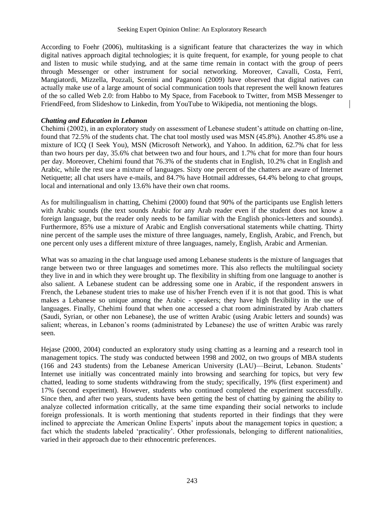According to Foehr (2006), multitasking is a significant feature that characterizes the way in which digital natives approach digital technologies; it is quite frequent, for example, for young people to chat and listen to music while studying, and at the same time remain in contact with the group of peers through Messenger or other instrument for social networking. Moreover, Cavalli, Costa, Ferri, Mangiatordi, Mizzella, Pozzali, Scenini and Paganoni (2009) have observed that digital natives can actually make use of a large amount of social communication tools that represent the well known features of the so called Web 2.0: from Habbo to My Space, from Facebook to Twitter, from MSB Messenger to FriendFeed, from Slideshow to Linkedin, from YouTube to Wikipedia, not mentioning the blogs.

#### *Chatting and Education in Lebanon*

Chehimi (2002), in an exploratory study on assessment of Lebanese student's attitude on chatting on-line, found that 72.5% of the students chat. The chat tool mostly used was MSN (45.8%). Another 45.8% use a mixture of ICQ (I Seek You), MSN (Microsoft Network), and Yahoo. In addition, 62.7% chat for less than two hours per day, 35.6% chat between two and four hours, and 1.7% chat for more than four hours per day. Moreover, Chehimi found that 76.3% of the students chat in English, 10.2% chat in English and Arabic, while the rest use a mixture of languages. Sixty one percent of the chatters are aware of Internet Netiquette; all chat users have e-mails, and 84.7% have Hotmail addresses, 64.4% belong to chat groups, local and international and only 13.6% have their own chat rooms.

As for multilingualism in chatting, Chehimi (2000) found that 90% of the participants use English letters with Arabic sounds (the text sounds Arabic for any Arab reader even if the student does not know a foreign language, but the reader only needs to be familiar with the English phonics-letters and sounds). Furthermore, 85% use a mixture of Arabic and English conversational statements while chatting. Thirty nine percent of the sample uses the mixture of three languages, namely, English, Arabic, and French, but one percent only uses a different mixture of three languages, namely, English, Arabic and Armenian.

What was so amazing in the chat language used among Lebanese students is the mixture of languages that range between two or three languages and sometimes more. This also reflects the multilingual society they live in and in which they were brought up. The flexibility in shifting from one language to another is also salient. A Lebanese student can be addressing some one in Arabic, if the respondent answers in French, the Lebanese student tries to make use of his/her French even if it is not that good. This is what makes a Lebanese so unique among the Arabic - speakers; they have high flexibility in the use of languages. Finally, Chehimi found that when one accessed a chat room administrated by Arab chatters (Saudi, Syrian, or other non Lebanese), the use of written Arabic (using Arabic letters and sounds) was salient; whereas, in Lebanon's rooms (administrated by Lebanese) the use of written Arabic was rarely seen.

Hejase (2000, 2004) conducted an exploratory study using chatting as a learning and a research tool in management topics. The study was conducted between 1998 and 2002, on two groups of MBA students (166 and 243 students) from the Lebanese American University (LAU)—Beirut, Lebanon. Students' Internet use initially was concentrated mainly into browsing and searching for topics, but very few chatted, leading to some students withdrawing from the study; specifically, 19% (first experiment) and 17% (second experiment). However, students who continued completed the experiment successfully. Since then, and after two years, students have been getting the best of chatting by gaining the ability to analyze collected information critically, at the same time expanding their social networks to include foreign professionals. It is worth mentioning that students reported in their findings that they were inclined to appreciate the American Online Experts' inputs about the management topics in question; a fact which the students labeled 'practicality'. Other professionals, belonging to different nationalities, varied in their approach due to their ethnocentric preferences.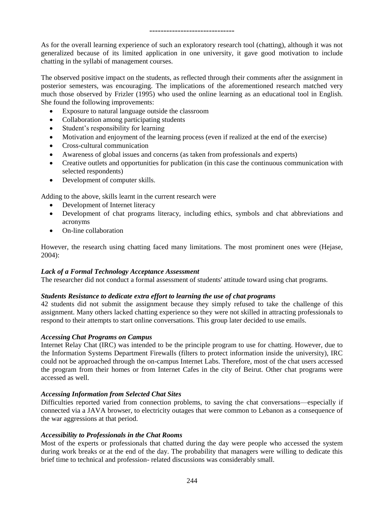As for the overall learning experience of such an exploratory research tool (chatting), although it was not generalized because of its limited application in one university, it gave good motivation to include chatting in the syllabi of management courses.

The observed positive impact on the students, as reflected through their comments after the assignment in posterior semesters, was encouraging. The implications of the aforementioned research matched very much those observed by Frizler (1995) who used the online learning as an educational tool in English. She found the following improvements:

- Exposure to natural language outside the classroom
- Collaboration among participating students
- Student's responsibility for learning
- Motivation and enjoyment of the learning process (even if realized at the end of the exercise)
- Cross-cultural communication
- Awareness of global issues and concerns (as taken from professionals and experts)
- Creative outlets and opportunities for publication (in this case the continuous communication with selected respondents)
- Development of computer skills.

Adding to the above, skills learnt in the current research were

- Development of Internet literacy
- Development of chat programs literacy, including ethics, symbols and chat abbreviations and acronyms
- On-line collaboration

However, the research using chatting faced many limitations. The most prominent ones were (Hejase, 2004):

#### *Lack of a Formal Technology Acceptance Assessment*

The researcher did not conduct a formal assessment of students' attitude toward using chat programs.

#### *Students Resistance to dedicate extra effort to learning the use of chat programs*

42 students did not submit the assignment because they simply refused to take the challenge of this assignment. Many others lacked chatting experience so they were not skilled in attracting professionals to respond to their attempts to start online conversations. This group later decided to use emails.

#### *Accessing Chat Programs on Campus*

Internet Relay Chat (IRC) was intended to be the principle program to use for chatting. However, due to the Information Systems Department Firewalls (filters to protect information inside the university), IRC could not be approached through the on-campus Internet Labs. Therefore, most of the chat users accessed the program from their homes or from Internet Cafes in the city of Beirut. Other chat programs were accessed as well.

#### *Accessing Information from Selected Chat Sites*

Difficulties reported varied from connection problems, to saving the chat conversations—especially if connected via a JAVA browser, to electricity outages that were common to Lebanon as a consequence of the war aggressions at that period.

#### *Accessibility to Professionals in the Chat Rooms*

Most of the experts or professionals that chatted during the day were people who accessed the system during work breaks or at the end of the day. The probability that managers were willing to dedicate this brief time to technical and profession- related discussions was considerably small.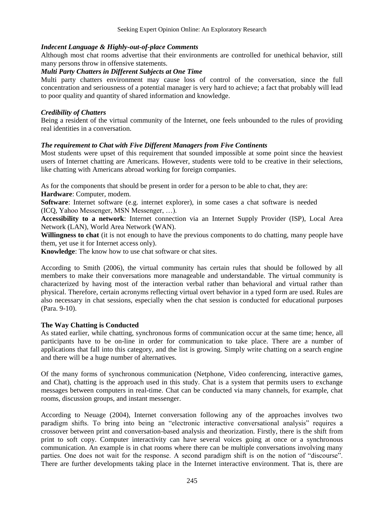#### *Indecent Language & Highly-out-of-place Comments*

Although most chat rooms advertise that their environments are controlled for unethical behavior, still many persons throw in offensive statements.

#### *Multi Party Chatters in Different Subjects at One Time*

Multi party chatters environment may cause loss of control of the conversation, since the full concentration and seriousness of a potential manager is very hard to achieve; a fact that probably will lead to poor quality and quantity of shared information and knowledge.

#### *Credibility of Chatters*

Being a resident of the virtual community of the Internet, one feels unbounded to the rules of providing real identities in a conversation.

#### *The requirement to Chat with Five Different Managers from Five Continents*

Most students were upset of this requirement that sounded impossible at some point since the heaviest users of Internet chatting are Americans. However, students were told to be creative in their selections, like chatting with Americans abroad working for foreign companies.

As for the components that should be present in order for a person to be able to chat, they are: **Hardware**: Computer, modem.

**Software**: Internet software (e.g. internet explorer), in some cases a chat software is needed (ICQ, Yahoo Messenger, MSN Messenger, …).

**Accessibility to a network**: Internet connection via an Internet Supply Provider (ISP), Local Area Network (LAN), World Area Network (WAN).

**Willingness to chat** (it is not enough to have the previous components to do chatting, many people have them, yet use it for Internet access only).

**Knowledge**: The know how to use chat software or chat sites.

According to Smith (2006), the virtual community has certain rules that should be followed by all members to make their conversations more manageable and understandable. The virtual community is characterized by having most of the interaction verbal rather than behavioral and virtual rather than physical. Therefore, certain acronyms reflecting virtual overt behavior in a typed form are used. Rules are also necessary in chat sessions, especially when the chat session is conducted for educational purposes (Para. 9-10).

#### **The Way Chatting is Conducted**

As stated earlier, while chatting, synchronous forms of communication occur at the same time; hence, all participants have to be on-line in order for communication to take place. There are a number of applications that fall into this category, and the list is growing. Simply write chatting on a search engine and there will be a huge number of alternatives.

Of the many forms of synchronous communication (Netphone, Video conferencing, interactive games, and Chat), chatting is the approach used in this study. Chat is a system that permits users to exchange messages between computers in real-time. Chat can be conducted via many channels, for example, chat rooms, discussion groups, and instant messenger.

According to Neuage (2004), Internet conversation following any of the approaches involves two paradigm shifts. To bring into being an "electronic interactive conversational analysis" requires a crossover between print and conversation-based analysis and theorization. Firstly, there is the shift from print to soft copy. Computer interactivity can have several voices going at once or a synchronous communication. An example is in chat rooms where there can be multiple conversations involving many parties. One does not wait for the response. A second paradigm shift is on the notion of "discourse". There are further developments taking place in the Internet interactive environment. That is, there are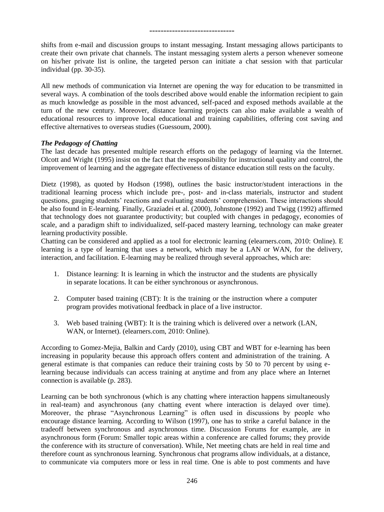shifts from e-mail and discussion groups to instant messaging. Instant messaging allows participants to create their own private chat channels. The instant messaging system alerts a person whenever someone on his/her private list is online, the targeted person can initiate a chat session with that particular individual (pp. 30-35).

All new methods of communication via Internet are opening the way for education to be transmitted in several ways. A combination of the tools described above would enable the information recipient to gain as much knowledge as possible in the most advanced, self-paced and exposed methods available at the turn of the new century. Moreover, distance learning projects can also make available a wealth of educational resources to improve local educational and training capabilities, offering cost saving and effective alternatives to overseas studies (Guessoum, 2000).

#### *The Pedagogy of Chatting*

The last decade has presented multiple research efforts on the pedagogy of learning via the Internet. Olcott and Wright (1995) insist on the fact that the responsibility for instructional quality and control, the improvement of learning and the aggregate effectiveness of distance education still rests on the faculty.

Dietz (1998), as quoted by Hodson (1998), outlines the basic instructor/student interactions in the traditional learning process which include pre-, post- and in-class materials, instructor and student questions, gauging students' reactions and evaluating students' comprehension. These interactions should be also found in E-learning. Finally, Graziadei et al. (2000), Johnstone (1992) and Twigg (1992) affirmed that technology does not guarantee productivity; but coupled with changes in pedagogy, economies of scale, and a paradigm shift to individualized, self-paced mastery learning, technology can make greater learning productivity possible.

Chatting can be considered and applied as a tool for electronic learning (elearners.com, 2010: Online). E learning is a type of learning that uses a network, which may be a LAN or WAN, for the delivery, interaction, and facilitation. E-learning may be realized through several approaches, which are:

- 1. Distance learning: It is learning in which the instructor and the students are physically in separate locations. It can be either synchronous or asynchronous.
- 2. Computer based training (CBT): It is the training or the instruction where a computer program provides motivational feedback in place of a live instructor.
- 3. Web based training (WBT): It is the training which is delivered over a network (LAN, WAN, or Internet). (elearners.com, 2010: Online).

According to Gomez-Mejia, Balkin and Cardy (2010), using CBT and WBT for e-learning has been increasing in popularity because this approach offers content and administration of the training. A general estimate is that companies can reduce their training costs by 50 to 70 percent by using elearning because individuals can access training at anytime and from any place where an Internet connection is available (p. 283).

Learning can be both synchronous (which is any chatting where interaction happens simultaneously in real-team) and asynchronous (any chatting event where interaction is delayed over time). Moreover, the phrase "Asynchronous Learning" is often used in discussions by people who encourage distance learning. According to Wilson (1997), one has to strike a careful balance in the tradeoff between synchronous and asynchronous time. Discussion Forums for example, are in asynchronous form (Forum: Smaller topic areas within a conference are called forums; they provide the conference with its structure of conversation). While, Net meeting chats are held in real time and therefore count as synchronous learning. Synchronous chat programs allow individuals, at a distance, to communicate via computers more or less in real time. One is able to post comments and have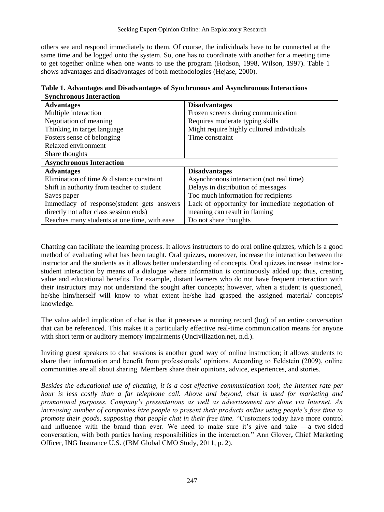others see and respond immediately to them. Of course, the individuals have to be connected at the same time and be logged onto the system. So, one has to coordinate with another for a meeting time to get together online when one wants to use the program (Hodson, 1998, Wilson, 1997). Table 1 shows advantages and disadvantages of both methodologies (Hejase, 2000).

| <b>Synchronous Interaction</b>               |                                                  |
|----------------------------------------------|--------------------------------------------------|
| <b>Advantages</b>                            | <b>Disadvantages</b>                             |
| Multiple interaction                         | Frozen screens during communication              |
| Negotiation of meaning                       | Requires moderate typing skills                  |
| Thinking in target language                  | Might require highly cultured individuals        |
| Fosters sense of belonging                   | Time constraint                                  |
| Relaxed environment                          |                                                  |
| Share thoughts                               |                                                  |
| <b>Asynchronous Interaction</b>              |                                                  |
| <b>Advantages</b>                            | <b>Disadvantages</b>                             |
| Elimination of time & distance constraint    | Asynchronous interaction (not real time)         |
| Shift in authority from teacher to student   | Delays in distribution of messages               |
| Saves paper                                  | Too much information for recipients              |
| Immediacy of response (student gets answers  | Lack of opportunity for immediate negotiation of |
| directly not after class session ends)       | meaning can result in flaming                    |
| Reaches many students at one time, with ease | Do not share thoughts                            |

| Table 1. Advantages and Disadvantages of Synchronous and Asynchronous Interactions |  |  |  |  |  |  |
|------------------------------------------------------------------------------------|--|--|--|--|--|--|
|------------------------------------------------------------------------------------|--|--|--|--|--|--|

Chatting can facilitate the learning process. It allows instructors to do oral online quizzes, which is a good method of evaluating what has been taught. Oral quizzes, moreover, increase the interaction between the instructor and the students as it allows better understanding of concepts. Oral quizzes increase instructorstudent interaction by means of a dialogue where information is continuously added up; thus, creating value and educational benefits. For example, distant learners who do not have frequent interaction with their instructors may not understand the sought after concepts; however, when a student is questioned, he/she him/herself will know to what extent he/she had grasped the assigned material/ concepts/ knowledge.

The value added implication of chat is that it preserves a running record (log) of an entire conversation that can be referenced. This makes it a particularly effective real-time communication means for anyone with short term or auditory memory impairments (Uncivilization.net, n.d.).

Inviting guest speakers to chat sessions is another good way of online instruction; it allows students to share their information and benefit from professionals' opinions. According to Feldstein (2009), online communities are all about sharing. Members share their opinions, advice, experiences, and stories.

*Besides the educational use of chatting, it is a cost effective communication tool; the Internet rate per hour is less costly than a far telephone call. Above and beyond, chat is used for marketing and promotional purposes. Company's presentations as well as advertisement are done via Internet. An increasing number of companies hire people to present their products online using people's free time to promote their goods, supposing that people chat in their free time.* "Customers today have more control and influence with the brand than ever. We need to make sure it's give and take —a two-sided conversation, with both parties having responsibilities in the interaction.‖ Ann Glover**,** Chief Marketing Officer, ING Insurance U.S. (IBM Global CMO Study, 2011, p. 2).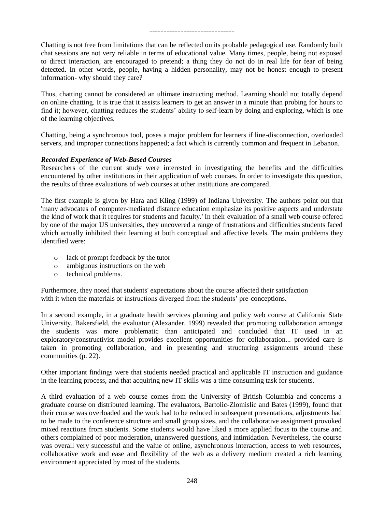Chatting is not free from limitations that can be reflected on its probable pedagogical use. Randomly built chat sessions are not very reliable in terms of educational value. Many times, people, being not exposed to direct interaction, are encouraged to pretend; a thing they do not do in real life for fear of being detected. In other words, people, having a hidden personality, may not be honest enough to present information- why should they care?

Thus, chatting cannot be considered an ultimate instructing method. Learning should not totally depend on online chatting. It is true that it assists learners to get an answer in a minute than probing for hours to find it; however, chatting reduces the students' ability to self-learn by doing and exploring, which is one of the learning objectives.

Chatting, being a synchronous tool, poses a major problem for learners if line-disconnection, overloaded servers, and improper connections happened; a fact which is currently common and frequent in Lebanon.

#### *Recorded Experience of Web-Based Courses*

Researchers of the current study were interested in investigating the benefits and the difficulties encountered by other institutions in their application of web courses. In order to investigate this question, the results of three evaluations of web courses at other institutions are compared.

The first example is given by Hara and Kling (1999) of Indiana University. The authors point out that 'many advocates of computer-mediated distance education emphasize its positive aspects and understate the kind of work that it requires for students and faculty.' In their evaluation of a small web course offered by one of the major US universities, they uncovered a range of frustrations and difficulties students faced which actually inhibited their learning at both conceptual and affective levels. The main problems they identified were:

- o lack of prompt feedback by the tutor
- o ambiguous instructions on the web
- o technical problems.

Furthermore, they noted that students' expectations about the course affected their satisfaction with it when the materials or instructions diverged from the students' pre-conceptions.

In a second example, in a graduate health services planning and policy web course at California State University, Bakersfield, the evaluator (Alexander, 1999) revealed that promoting collaboration amongst the students was more problematic than anticipated and concluded that IT used in an exploratory/constructivist model provides excellent opportunities for collaboration... provided care is taken in promoting collaboration, and in presenting and structuring assignments around these communities (p. 22).

Other important findings were that students needed practical and applicable IT instruction and guidance in the learning process, and that acquiring new IT skills was a time consuming task for students.

A third evaluation of a web course comes from the University of British Columbia and concerns a graduate course on distributed learning. The evaluators, Bartolic-Zlomislic and Bates (1999), found that their course was overloaded and the work had to be reduced in subsequent presentations, adjustments had to be made to the conference structure and small group sizes, and the collaborative assignment provoked mixed reactions from students. Some students would have liked a more applied focus to the course and others complained of poor moderation, unanswered questions, and intimidation. Nevertheless, the course was overall very successful and the value of online, asynchronous interaction, access to web resources, collaborative work and ease and flexibility of the web as a delivery medium created a rich learning environment appreciated by most of the students.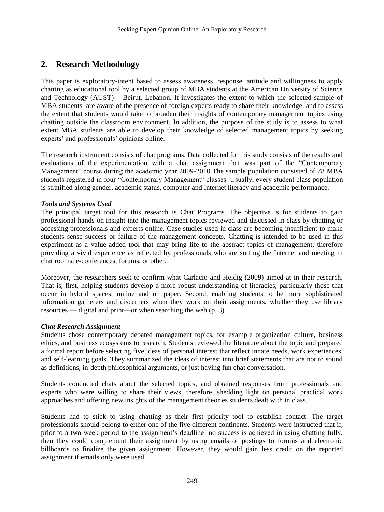## **2. Research Methodology**

This paper is exploratory-intent based to assess awareness, response, attitude and willingness to apply chatting as educational tool by a selected group of MBA students at the American University of Science and Technology (AUST) – Beirut, Lebanon. It investigates the extent to which the selected sample of MBA students are aware of the presence of foreign experts ready to share their knowledge, and to assess the extent that students would take to broaden their insights of contemporary management topics using chatting outside the classroom environment. In addition, the purpose of the study is to assess to what extent MBA students are able to develop their knowledge of selected management topics by seeking experts' and professionals' opinions online.

The research instrument consists of chat programs. Data collected for this study consists of the results and evaluations of the experimentation with a chat assignment that was part of the "Contemporary Management" course during the academic year 2009-2010 The sample population consisted of 78 MBA students registered in four "Contemporary Management" classes. Usually, every student class population is stratified along gender, academic status, computer and Internet literacy and academic performance.

#### *Tools and Systems Used*

The principal target tool for this research is Chat Programs. The objective is for students to gain professional hands-on insight into the management topics reviewed and discussed in class by chatting or accessing professionals and experts online. Case studies used in class are becoming insufficient to make students sense success or failure of the management concepts. Chatting is intended to be used in this experiment as a value-added tool that may bring life to the abstract topics of management, therefore providing a vivid experience as reflected by professionals who are surfing the Internet and meeting in chat rooms, e-conferences, forums, or other.

Moreover, the researchers seek to confirm what Carlacio and Heidig (2009) aimed at in their research. That is, first, helping students develop a more robust understanding of literacies, particularly those that occur in hybrid spaces: online and on paper. Second, enabling students to be more sophisticated information gatherers and discerners when they work on their assignments, whether they use library resources — digital and print—or when searching the web (p. 3).

#### *Chat Research Assignment*

Students chose contemporary debated management topics, for example organization culture, business ethics, and business ecosystems to research. Students reviewed the literature about the topic and prepared a formal report before selecting five ideas of personal interest that reflect innate needs, work experiences, and self-learning goals. They summarized the ideas of interest into brief statements that are not to sound as definitions, in-depth philosophical arguments, or just having fun chat conversation.

Students conducted chats about the selected topics, and obtained responses from professionals and experts who were willing to share their views, therefore, shedding light on personal practical work approaches and offering new insights of the management theories students dealt with in class.

Students had to stick to using chatting as their first priority tool to establish contact. The target professionals should belong to either one of the five different continents. Students were instructed that if, prior to a two-week period to the assignment's deadline no success is achieved in using chatting fully, then they could complement their assignment by using emails or postings to forums and electronic billboards to finalize the given assignment. However, they would gain less credit on the reported assignment if emails only were used.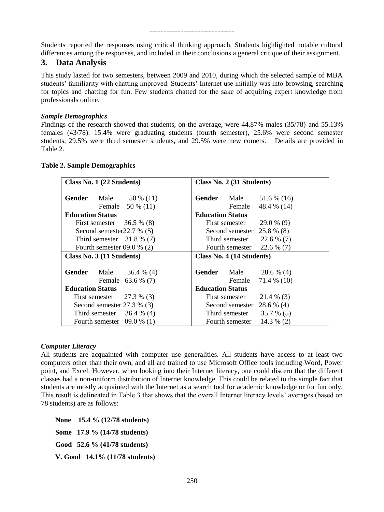Students reported the responses using critical thinking approach. Students highlighted notable cultural differences among the responses, and included in their conclusions a general critique of their assignment.

## **3. Data Analysis**

This study lasted for two semesters, between 2009 and 2010, during which the selected sample of MBA students' familiarity with chatting improved. Students' Internet use initially was into browsing, searching for topics and chatting for fun. Few students chatted for the sake of acquiring expert knowledge from professionals online.

#### *Sample Demographics*

Findings of the research showed that students, on the average, were 44.87% males (35/78) and 55.13% females (43/78). 15.4% were graduating students (fourth semester), 25.6% were second semester students, 29.5% were third semester students, and 29.5% were new comers. Details are provided in Table 2.

| Class No. 1 (22 Students)    | Class No. 2 (31 Students)       |  |
|------------------------------|---------------------------------|--|
| Gender                       | Gender                          |  |
| Male                         | Male                            |  |
| 50 % (11)                    | 51.6 % (16)                     |  |
| Female                       | 48.4 % (14)                     |  |
| 50 % (11)                    | Female                          |  |
| <b>Education Status</b>      | <b>Education Status</b>         |  |
| $36.5\%$ (8)                 | 29.0 % (9)                      |  |
| First semester               | First semester                  |  |
| Second semester $22.7\%$ (5) | Second semester<br>25.8 % (8)   |  |
| Third semester $31.8\%$ (7)  | Third semester<br>22.6 % (7)    |  |
| Fourth semester $09.0\%$ (2) | Fourth semester<br>$22.6\%$ (7) |  |
| Class No. 3 (11 Students)    | Class No. 4 (14 Students)       |  |
| Gender                       | Gender                          |  |
| Male                         | Male                            |  |
| $36.4\%$ (4)                 | 28.6 % (4)                      |  |
| Female                       | Female                          |  |
| 63.6 % (7)                   | 71.4 % (10)                     |  |
| <b>Education Status</b>      | <b>Education Status</b>         |  |
| 27.3 % (3)                   | 21.4 % (3)                      |  |
| First semester               | First semester                  |  |
| Second semester $27.3\%$ (3) | Second semester<br>28.6 % (4)   |  |
| Third semester               | Third semester                  |  |
| $36.4\%$ (4)                 | $35.7\%$ (5)                    |  |
| $09.0\%$ (1)                 | Fourth semester                 |  |
| Fourth semester              | $14.3\%$ (2)                    |  |

#### **Table 2. Sample Demographics**

#### *Computer Literacy*

All students are acquainted with computer use generalities. All students have access to at least two computers other than their own, and all are trained to use Microsoft Office tools including Word, Power point, and Excel. However, when looking into their Internet literacy, one could discern that the different classes had a non-uniform distribution of Internet knowledge. This could be related to the simple fact that students are mostly acquainted with the Internet as a search tool for academic knowledge or for fun only. This result is delineated in Table 3 that shows that the overall Internet literacy levels' averages (based on 78 students) are as follows:

 **None 15.4 % (12/78 students) Some 17.9 % (14/78 students) Good 52.6 % (41/78 students) V. Good 14.1% (11/78 students)**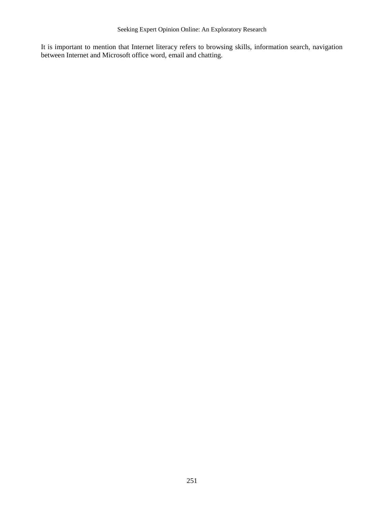It is important to mention that Internet literacy refers to browsing skills, information search, navigation between Internet and Microsoft office word, email and chatting.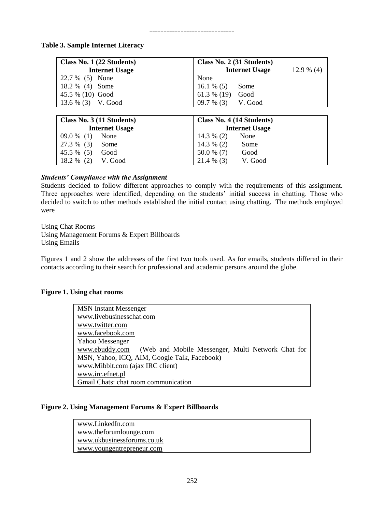#### **Table 3. Sample Internet Literacy**

| Class No. 1 (22 Students) | Class No. 2 (31 Students)             |
|---------------------------|---------------------------------------|
| <b>Internet Usage</b>     | <b>Internet Usage</b><br>$12.9\%$ (4) |
| 22.7 % (5) None           | None                                  |
| $18.2\%$ (4)<br>Some      | $16.1\%$ (5)<br>Some                  |
| 45.5 % (10) Good          | $61.3\%$ (19)<br>Good                 |
| 13.6 % (3) V. Good        | $09.7\%$ (3)<br>V. Good               |
|                           |                                       |
| Class No. 3 (11 Students) | Class No. 4 (14 Students)             |
| <b>Internet Usage</b>     | <b>Internet Usage</b>                 |
| $09.0\%$ (1)<br>None      | None<br>$14.3\%$ (2)                  |
| 27.3 % (3)<br>Some        | $14.3\%$ (2)<br>Some                  |
| 45.5 %<br>(5)<br>Good     | 50.0 % (7)<br>Good                    |
| V. Good<br>18.2 %<br>(2)  | 21.4 % (3)<br>V. Good                 |

#### *Students' Compliance with the Assignment*

Students decided to follow different approaches to comply with the requirements of this assignment. Three approaches were identified, depending on the students' initial success in chatting. Those who decided to switch to other methods established the initial contact using chatting. The methods employed were

Using Chat Rooms Using Management Forums & Expert Billboards Using Emails

Figures 1 and 2 show the addresses of the first two tools used. As for emails, students differed in their contacts according to their search for professional and academic persons around the globe.

#### **Figure 1. Using chat rooms**

MSN Instant Messenger [www.livebusinesschat.com](http://www.livebusinesschat.com/) [www.twitter.com](http://www.twitter.com/) [www.facebook.com](http://www.facebook.com/) Yahoo Messenger [www.ebuddy.com](http://www.ebuddy.com/) (Web and Mobile Messenger, Multi Network Chat for MSN, Yahoo, ICQ, AIM, Google Talk, Facebook) [www.Mibbit.com](http://www.mibbit.com/) (ajax IRC client) [www.irc.efnet.pl](http://www.irc.efnet.pl/) Gmail Chats: chat room communication

#### **Figure 2. Using Management Forums & Expert Billboards**

[www.LinkedIn.com](http://www.linkedin.com/) [www.theforumlounge.com](http://www.theforumlounge.com/) [www.ukbusinessforums.co.uk](http://www.ukbusinessforums.co.uk/) [www.youngentrepreneur.com](http://www.youngentrepreneur.com/)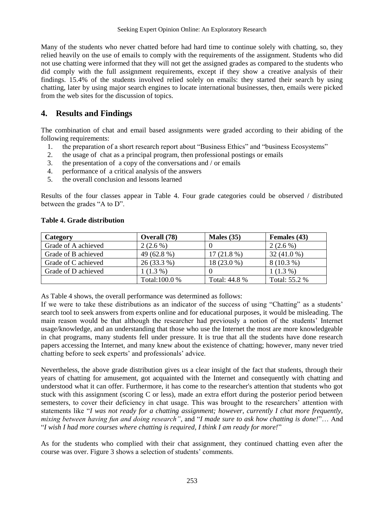Many of the students who never chatted before had hard time to continue solely with chatting, so, they relied heavily on the use of emails to comply with the requirements of the assignment. Students who did not use chatting were informed that they will not get the assigned grades as compared to the students who did comply with the full assignment requirements, except if they show a creative analysis of their findings. 15.4% of the students involved relied solely on emails: they started their search by using chatting, later by using major search engines to locate international businesses, then, emails were picked from the web sites for the discussion of topics.

## **4. Results and Findings**

The combination of chat and email based assignments were graded according to their abiding of the following requirements:

- 1. the preparation of a short research report about "Business Ethics" and "business Ecosystems"
- 2. the usage of chat as a principal program, then professional postings or emails
- 3. the presentation of a copy of the conversations and / or emails
- 4. performance of a critical analysis of the answers
- 5. the overall conclusion and lessons learned

Results of the four classes appear in Table 4. Four grade categories could be observed / distributed between the grades "A to D".

| Category            | Overall (78)  | Males $(35)$  | Females (43)  |
|---------------------|---------------|---------------|---------------|
| Grade of A achieved | $2(2.6\%)$    |               | $2(2.6\%)$    |
| Grade of B achieved | 49 (62.8 %)   | $17(21.8\%)$  | $32(41.0\%)$  |
| Grade of C achieved | 26 (33.3 %)   | 18 (23.0 %)   | $8(10.3\%)$   |
| Grade of D achieved | $1(1.3\%)$    |               | $1(1.3\%)$    |
|                     | Total:100.0 % | Total: 44.8 % | Total: 55.2 % |

#### **Table 4. Grade distribution**

As Table 4 shows, the overall performance was determined as follows:

If we were to take these distributions as an indicator of the success of using "Chatting" as a students' search tool to seek answers from experts online and for educational purposes, it would be misleading. The main reason would be that although the researcher had previously a notion of the students' Internet usage/knowledge, and an understanding that those who use the Internet the most are more knowledgeable in chat programs, many students fell under pressure. It is true that all the students have done research papers accessing the Internet, and many knew about the existence of chatting; however, many never tried chatting before to seek experts' and professionals' advice.

Nevertheless, the above grade distribution gives us a clear insight of the fact that students, through their years of chatting for amusement, got acquainted with the Internet and consequently with chatting and understood what it can offer. Furthermore, it has come to the researcher's attention that students who got stuck with this assignment (scoring C or less), made an extra effort during the posterior period between semesters, to cover their deficiency in chat usage. This was brought to the researchers' attention with statements like "*I was not ready for a chatting assignment; however, currently I chat more frequently, mixing between having fun and doing research"*, and "*I made sure to ask how chatting is done!"*... And ―*I wish I had more courses where chatting is required, I think I am ready for more!*‖

As for the students who complied with their chat assignment, they continued chatting even after the course was over. Figure 3 shows a selection of students' comments.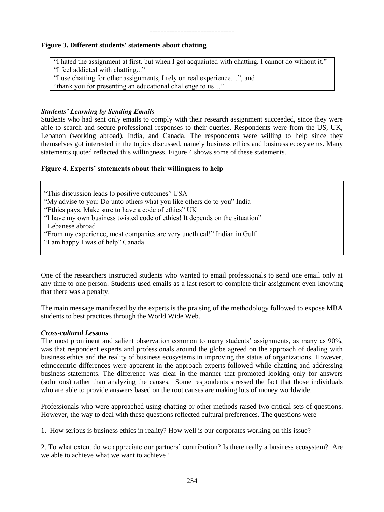#### **Figure 3. Different students' statements about chatting**

"I hated the assignment at first, but when I got acquainted with chatting, I cannot do without it." "I feel addicted with chatting..."

"I use chatting for other assignments, I rely on real experience...", and

"thank you for presenting an educational challenge to us..."

#### *Students' Learning by Sending Emails*

Students who had sent only emails to comply with their research assignment succeeded, since they were able to search and secure professional responses to their queries. Respondents were from the US, UK, Lebanon (working abroad), India, and Canada. The respondents were willing to help since they themselves got interested in the topics discussed, namely business ethics and business ecosystems. Many statements quoted reflected this willingness. Figure 4 shows some of these statements.

#### **Figure 4. Experts' statements about their willingness to help**

"This discussion leads to positive outcomes" USA "My advise to you: Do unto others what you like others do to you" India ―Ethics pays. Make sure to have a code of ethics‖ UK "I have my own business twisted code of ethics! It depends on the situation" Lebanese abroad ―From my experience, most companies are very unethical!‖ Indian in Gulf "I am happy I was of help" Canada

One of the researchers instructed students who wanted to email professionals to send one email only at any time to one person. Students used emails as a last resort to complete their assignment even knowing that there was a penalty.

The main message manifested by the experts is the praising of the methodology followed to expose MBA students to best practices through the World Wide Web.

#### *Cross-cultural Lessons*

The most prominent and salient observation common to many students' assignments, as many as 90%, was that respondent experts and professionals around the globe agreed on the approach of dealing with business ethics and the reality of business ecosystems in improving the status of organizations. However, ethnocentric differences were apparent in the approach experts followed while chatting and addressing business statements. The difference was clear in the manner that promoted looking only for answers (solutions) rather than analyzing the causes. Some respondents stressed the fact that those individuals who are able to provide answers based on the root causes are making lots of money worldwide.

Professionals who were approached using chatting or other methods raised two critical sets of questions. However, the way to deal with these questions reflected cultural preferences. The questions were

1. How serious is business ethics in reality? How well is our corporates working on this issue?

2. To what extent do we appreciate our partners' contribution? Is there really a business ecosystem? Are we able to achieve what we want to achieve?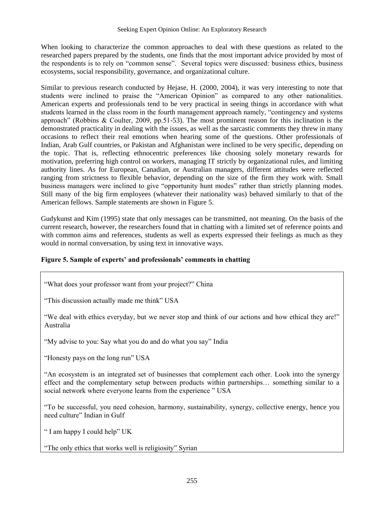When looking to characterize the common approaches to deal with these questions as related to the researched papers prepared by the students, one finds that the most important advice provided by most of the respondents is to rely on "common sense". Several topics were discussed: business ethics, business ecosystems, social responsibility, governance, and organizational culture.

Similar to previous research conducted by Hejase, H. (2000, 2004), it was very interesting to note that students were inclined to praise the "American Opinion" as compared to any other nationalities. American experts and professionals tend to be very practical in seeing things in accordance with what students learned in the class room in the fourth management approach namely, "contingency and systems approach" (Robbins & Coulter, 2009, pp.51-53). The most prominent reason for this inclination is the demonstrated practicality in dealing with the issues, as well as the sarcastic comments they threw in many occasions to reflect their real emotions when hearing some of the questions. Other professionals of Indian, Arab Gulf countries, or Pakistan and Afghanistan were inclined to be very specific, depending on the topic. That is, reflecting ethnocentric preferences like choosing solely monetary rewards for motivation, preferring high control on workers, managing IT strictly by organizational rules, and limiting authority lines. As for European, Canadian, or Australian managers, different attitudes were reflected ranging from strictness to flexible behavior, depending on the size of the firm they work with. Small business managers were inclined to give "opportunity hunt modes" rather than strictly planning modes. Still many of the big firm employees (whatever their nationality was) behaved similarly to that of the American fellows. Sample statements are shown in Figure 5.

Gudykunst and Kim (1995) state that only messages can be transmitted, not meaning. On the basis of the current research, however, the researchers found that in chatting with a limited set of reference points and with common aims and references, students as well as experts expressed their feelings as much as they would in normal conversation, by using text in innovative ways.

## **Figure 5. Sample of experts' and professionals' comments in chatting**

"What does your professor want from your project?" China

"This discussion actually made me think" USA

"We deal with ethics everyday, but we never stop and think of our actions and how ethical they are!" Australia

"My advise to you: Say what you do and do what you say" India

"Honesty pays on the long run" USA

―An ecosystem is an integrated set of businesses that complement each other. Look into the synergy effect and the complementary setup between products within partnerships… something similar to a social network where everyone learns from the experience  $"$  USA

―To be successful, you need cohesion, harmony, sustainability, synergy, collective energy, hence you need culture" Indian in Gulf

"I am happy I could help" UK

"The only ethics that works well is religiosity" Syrian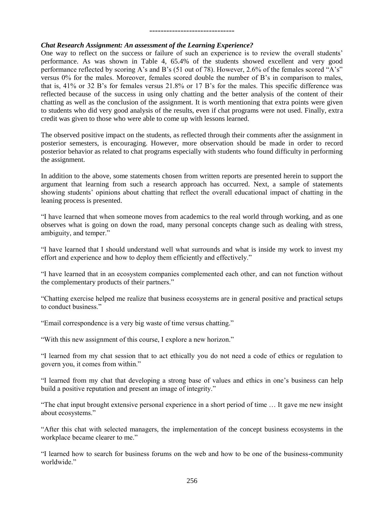## ------------------------------

#### *Chat Research Assignment: An assessment of the Learning Experience?*

One way to reflect on the success or failure of such an experience is to review the overall students' performance. As was shown in Table 4, 65.4% of the students showed excellent and very good performance reflected by scoring A's and B's (51 out of 78). However, 2.6% of the females scored "A's" versus 0% for the males. Moreover, females scored double the number of B's in comparison to males, that is, 41% or 32 B's for females versus 21.8% or 17 B's for the males. This specific difference was reflected because of the success in using only chatting and the better analysis of the content of their chatting as well as the conclusion of the assignment. It is worth mentioning that extra points were given to students who did very good analysis of the results, even if chat programs were not used. Finally, extra credit was given to those who were able to come up with lessons learned.

The observed positive impact on the students, as reflected through their comments after the assignment in posterior semesters, is encouraging. However, more observation should be made in order to record posterior behavior as related to chat programs especially with students who found difficulty in performing the assignment.

In addition to the above, some statements chosen from written reports are presented herein to support the argument that learning from such a research approach has occurred. Next, a sample of statements showing students' opinions about chatting that reflect the overall educational impact of chatting in the leaning process is presented.

―I have learned that when someone moves from academics to the real world through working, and as one observes what is going on down the road, many personal concepts change such as dealing with stress, ambiguity, and temper."

―I have learned that I should understand well what surrounds and what is inside my work to invest my effort and experience and how to deploy them efficiently and effectively."

―I have learned that in an ecosystem companies complemented each other, and can not function without the complementary products of their partners."

―Chatting exercise helped me realize that business ecosystems are in general positive and practical setups to conduct business."

"Email correspondence is a very big waste of time versus chatting."

"With this new assignment of this course, I explore a new horizon."

―I learned from my chat session that to act ethically you do not need a code of ethics or regulation to govern you, it comes from within."

―I learned from my chat that developing a strong base of values and ethics in one's business can help build a positive reputation and present an image of integrity."

―The chat input brought extensive personal experience in a short period of time … It gave me new insight about ecosystems."

―After this chat with selected managers, the implementation of the concept business ecosystems in the workplace became clearer to me."

―I learned how to search for business forums on the web and how to be one of the business-community worldwide."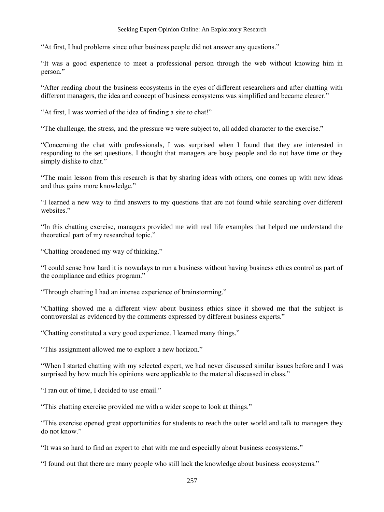#### Seeking Expert Opinion Online: An Exploratory Research

"At first, I had problems since other business people did not answer any questions."

―It was a good experience to meet a professional person through the web without knowing him in person."

―After reading about the business ecosystems in the eyes of different researchers and after chatting with different managers, the idea and concept of business ecosystems was simplified and became clearer."

"At first, I was worried of the idea of finding a site to chat!"

"The challenge, the stress, and the pressure we were subject to, all added character to the exercise."

―Concerning the chat with professionals, I was surprised when I found that they are interested in responding to the set questions. I thought that managers are busy people and do not have time or they simply dislike to chat."

―The main lesson from this research is that by sharing ideas with others, one comes up with new ideas and thus gains more knowledge."

―I learned a new way to find answers to my questions that are not found while searching over different websites."

―In this chatting exercise, managers provided me with real life examples that helped me understand the theoretical part of my researched topic."

"Chatting broadened my way of thinking."

―I could sense how hard it is nowadays to run a business without having business ethics control as part of the compliance and ethics program."

"Through chatting I had an intense experience of brainstorming."

―Chatting showed me a different view about business ethics since it showed me that the subject is controversial as evidenced by the comments expressed by different business experts."

"Chatting constituted a very good experience. I learned many things."

"This assignment allowed me to explore a new horizon."

―When I started chatting with my selected expert, we had never discussed similar issues before and I was surprised by how much his opinions were applicable to the material discussed in class."

"I ran out of time. I decided to use email."

"This chatting exercise provided me with a wider scope to look at things."

―This exercise opened great opportunities for students to reach the outer world and talk to managers they do not know."

"It was so hard to find an expert to chat with me and especially about business ecosystems."

"I found out that there are many people who still lack the knowledge about business ecosystems."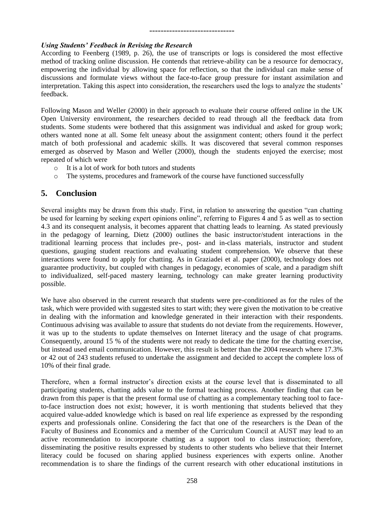## ------------------------------

#### *Using Students' Feedback in Revising the Research*

According to Feenberg (1989, p. 26), the use of transcripts or logs is considered the most effective method of tracking online discussion. He contends that retrieve-ability can be a resource for democracy, empowering the individual by allowing space for reflection, so that the individual can make sense of discussions and formulate views without the face-to-face group pressure for instant assimilation and interpretation. Taking this aspect into consideration, the researchers used the logs to analyze the students' feedback.

Following Mason and Weller (2000) in their approach to evaluate their course offered online in the UK Open University environment, the researchers decided to read through all the feedback data from students. Some students were bothered that this assignment was individual and asked for group work; others wanted none at all. Some felt uneasy about the assignment content; others found it the perfect match of both professional and academic skills. It was discovered that several common responses emerged as observed by Mason and Weller (2000), though the students enjoyed the exercise; most repeated of which were

- o It is a lot of work for both tutors and students
- o The systems, procedures and framework of the course have functioned successfully

## **5. Conclusion**

Several insights may be drawn from this study. First, in relation to answering the question "can chatting be used for learning by seeking expert opinions online", referring to Figures 4 and 5 as well as to section 4.3 and its consequent analysis, it becomes apparent that chatting leads to learning. As stated previously in the pedagogy of learning, Dietz (2000) outlines the basic instructor/student interactions in the traditional learning process that includes pre-, post- and in-class materials, instructor and student questions, gauging student reactions and evaluating student comprehension. We observe that these interactions were found to apply for chatting. As in Graziadei et al. paper (2000), technology does not guarantee productivity, but coupled with changes in pedagogy, economies of scale, and a paradigm shift to individualized, self-paced mastery learning, technology can make greater learning productivity possible.

We have also observed in the current research that students were pre-conditioned as for the rules of the task, which were provided with suggested sites to start with; they were given the motivation to be creative in dealing with the information and knowledge generated in their interaction with their respondents. Continuous advising was available to assure that students do not deviate from the requirements. However, it was up to the students to update themselves on Internet literacy and the usage of chat programs. Consequently, around 15 % of the students were not ready to dedicate the time for the chatting exercise, but instead used email communication. However, this result is better than the 2004 research where 17.3% or 42 out of 243 students refused to undertake the assignment and decided to accept the complete loss of 10% of their final grade.

Therefore, when a formal instructor's direction exists at the course level that is disseminated to all participating students, chatting adds value to the formal teaching process. Another finding that can be drawn from this paper is that the present formal use of chatting as a complementary teaching tool to faceto-face instruction does not exist; however, it is worth mentioning that students believed that they acquired value-added knowledge which is based on real life experience as expressed by the responding experts and professionals online. Considering the fact that one of the researchers is the Dean of the Faculty of Business and Economics and a member of the Curriculum Council at AUST may lead to an active recommendation to incorporate chatting as a support tool to class instruction; therefore, disseminating the positive results expressed by students to other students who believe that their Internet literacy could be focused on sharing applied business experiences with experts online. Another recommendation is to share the findings of the current research with other educational institutions in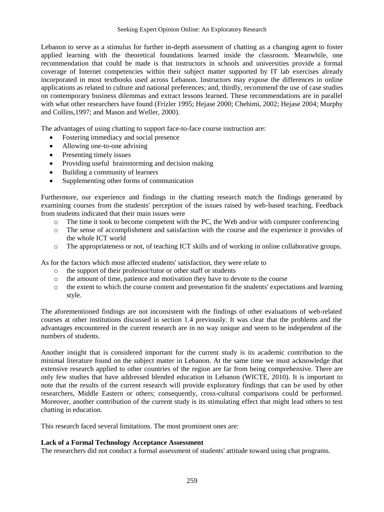Lebanon to serve as a stimulus for further in-depth assessment of chatting as a changing agent to foster applied learning with the theoretical foundations learned inside the classroom. Meanwhile, one recommendation that could be made is that instructors in schools and universities provide a formal coverage of Internet competencies within their subject matter supported by IT lab exercises already incorporated in most textbooks used across Lebanon. Instructors may expose the differences in online applications as related to culture and national preferences; and, thirdly, recommend the use of case studies on contemporary business dilemmas and extract lessons learned. These recommendations are in parallel with what other researchers have found (Frizler 1995; Hejase 2000; Chehimi, 2002; Hejase 2004; Murphy and Collins,1997; and Mason and Weller, 2000).

The advantages of using chatting to support face-to-face course instruction are:

- Fostering immediacy and social presence
- Allowing one-to-one advising
- Presenting timely issues
- Providing useful brainstorming and decision making
- Building a community of learners
- Supplementing other forms of communication

Furthermore, our experience and findings in the chatting research match the findings generated by examining courses from the students' perception of the issues raised by web-based teaching. Feedback from students indicated that their main issues were

- $\circ$  The time it took to become competent with the PC, the Web and/or with computer conferencing
- o The sense of accomplishment and satisfaction with the course and the experience it provides of the whole ICT world
- o The appropriateness or not, of teaching ICT skills and of working in online collaborative groups.

As for the factors which most affected students' satisfaction, they were relate to

- o the support of their professor/tutor or other staff or students
- o the amount of time, patience and motivation they have to devote to the course
- o the extent to which the course content and presentation fit the students' expectations and learning style.

The aforementioned findings are not inconsistent with the findings of other evaluations of web-related courses at other institutions discussed in section 1.4 previously. It was clear that the problems and the advantages encountered in the current research are in no way unique and seem to be independent of the numbers of students.

Another insight that is considered important for the current study is its academic contribution to the minimal literature found on the subject matter in Lebanon. At the same time we must acknowledge that extensive research applied to other countries of the region are far from being comprehensive. There are only few studies that have addressed blended education in Lebanon (WICTE, 2010). It is important to note that the results of the current research will provide exploratory findings that can be used by other researchers, Middle Eastern or others; consequently, cross-cultural comparisons could be performed. Moreover, another contribution of the current study is its stimulating effect that might lead others to test chatting in education.

This research faced several limitations. The most prominent ones are:

#### **Lack of a Formal Technology Acceptance Assessment**

The researchers did not conduct a formal assessment of students' attitude toward using chat programs.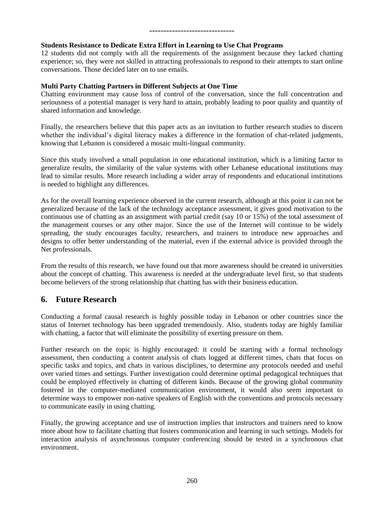## ------------------------------

#### **Students Resistance to Dedicate Extra Effort in Learning to Use Chat Programs**

12 students did not comply with all the requirements of the assignment because they lacked chatting experience; so, they were not skilled in attracting professionals to respond to their attempts to start online conversations. Those decided later on to use emails.

#### **Multi Party Chatting Partners in Different Subjects at One Time**

Chatting environment may cause loss of control of the conversation, since the full concentration and seriousness of a potential manager is very hard to attain, probably leading to poor quality and quantity of shared information and knowledge.

Finally, the researchers believe that this paper acts as an invitation to further research studies to discern whether the individual's digital literacy makes a difference in the formation of chat-related judgments, knowing that Lebanon is considered a mosaic multi-lingual community.

Since this study involved a small population in one educational institution, which is a limiting factor to generalize results, the similarity of the value systems with other Lebanese educational institutions may lead to similar results. More research including a wider array of respondents and educational institutions is needed to highlight any differences.

As for the overall learning experience observed in the current research, although at this point it can not be generalized because of the lack of the technology acceptance assessment, it gives good motivation to the continuous use of chatting as an assignment with partial credit (say 10 or 15%) of the total assessment of the management courses or any other major. Since the use of the Internet will continue to be widely spreading, the study encourages faculty, researchers, and trainers to introduce new approaches and designs to offer better understanding of the material, even if the external advice is provided through the Net professionals.

From the results of this research, we have found out that more awareness should be created in universities about the concept of chatting. This awareness is needed at the undergraduate level first, so that students become believers of the strong relationship that chatting has with their business education.

## **6. Future Research**

Conducting a formal causal research is highly possible today in Lebanon or other countries since the status of Internet technology has been upgraded tremendously. Also, students today are highly familiar with chatting, a factor that will eliminate the possibility of exerting pressure on them.

Further research on the topic is highly encouraged: it could be starting with a formal technology assessment, then conducting a content analysis of chats logged at different times, chats that focus on specific tasks and topics, and chats in various disciplines, to determine any protocols needed and useful over varied times and settings. Further investigation could determine optimal pedagogical techniques that could be employed effectively in chatting of different kinds. Because of the growing global community fostered in the computer-mediated communication environment, it would also seem important to determine ways to empower non-native speakers of English with the conventions and protocols necessary to communicate easily in using chatting.

Finally, the growing acceptance and use of instruction implies that instructors and trainers need to know more about how to facilitate chatting that fosters communication and learning in such settings. Models for interaction analysis of asynchronous computer conferencing should be tested in a synchronous chat environment.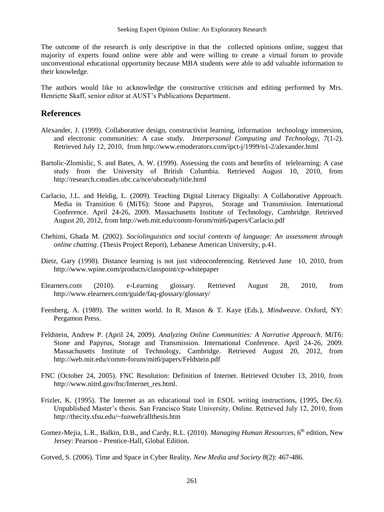The outcome of the research is only descriptive in that the collected opinions online, suggest that majority of experts found online were able and were willing to create a virtual forum to provide unconventional educational opportunity because MBA students were able to add valuable information to their knowledge.

The authors would like to acknowledge the constructive criticism and editing performed by Mrs. Henriette Skaff, senior editor at AUST's Publications Department.

### **References**

- Alexander, J. (1999). Collaborative design, constructivist learning, information technology immersion, and electronic communities: A case study. *Interpersonal Computing and Technology, 7*(1-2). Retrieved July 12, 2010, from http://www.emoderators.com/ipct-j/1999/n1-2/alexander.html
- Bartolic-Zlomislic, S. and Bates, A. W. (1999). Assessing the costs and benefits of telelearning: A case study from the University of British Columbia. Retrieved August 10, 2010, from http://research.cstudies.ubc.ca/nce/ubcstudy/title.html
- Carlacio, J.L. and Heidig, L. (2009). Teaching Digital Literacy Digitally: A Collaborative Approach. Media in Transition 6 (MiT6): Stone and Papyrus, Storage and Transmission. International Conference. April 24-26, 2009. Massachusetts Institute of Technology, Cambridge. Retrieved August 20, 2012, from http://web.mit.edu/comm-forum/mit6/papers/Carlacio.pdf
- Chehimi, Ghada M. (2002). *Sociolinguistics and social contexts of language: An assessment through online chatting*. (Thesis Project Report), Lebanese American University, p.41.
- Dietz, Gary (1998). Distance learning is not just videoconferencing. Retrieved June 10, 2010, from http://www.wpine.com/products/classpoint/cp-whitepaper
- Elearners.com (2010). e-Learning glossary. Retrieved August 28, 2010, from http://www.elearners.com/guide/faq-glossary/glossary/
- Feenberg, A. (1989). The written world. In R. Mason & T. Kaye (Eds.), *Mindweave*. Oxford, NY: Pergamon Press.
- Feldstein, Andrew P. (April 24, 2009). *Analyzing Online Communities: A Narrative Approach*. MiT6: Stone and Papyrus, Storage and Transmission. International Conference. April 24-26, 2009. Massachusetts Institute of Technology, Cambridge. Retrieved August 20, 2012, from http://web.mit.edu/comm-forum/mit6/papers/Feldstein.pdf
- FNC (October 24, 2005). FNC Resolution: Definition of Internet. Retrieved October 13, 2010, from http://www.nitrd.gov/fnc/Internet\_res.html.
- Frizler, K. (1995). The Internet as an educational tool in ESOL writing instructions, (1995, Dec.6). Unpublished Master's thesis. San Francisco State University, Online. Retrieved July 12, 2010, from http://thecity.sfsu.edu/~funweb/allthesis.htm
- Gomez-Mejia, L.R., Balkin, D.B., and Cardy, R.L. (2010). *Managing Human Resources*, 6<sup>th</sup> edition, New Jersey: Pearson - Prentice-Hall, Global Edition.

Gotved, S. (2006). Time and Space in Cyber Reality. *New Media and Society 8*(2): 467-486.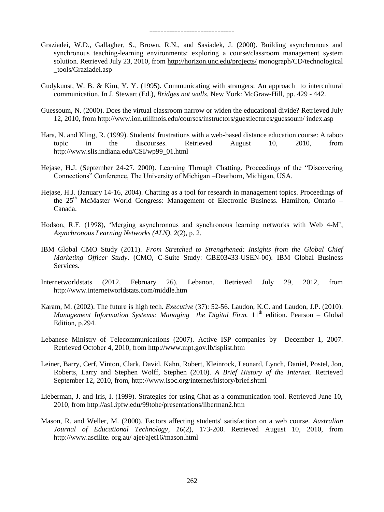- Graziadei, W.D., Gallagher, S., Brown, R.N., and Sasiadek, J. (2000). Building asynchronous and synchronous teaching-learning environments: exploring a course/classroom management system solution. Retrieved July 23, 2010, from<http://horizon.unc.edu/projects/> monograph/CD/technological \_tools/Graziadei.asp
- Gudykunst, W. B. & Kim, Y. Y. (1995). Communicating with strangers: An approach to intercultural communication. In J. Stewart (Ed.), *Bridges not walls.* New York: McGraw-Hill, pp. 429 - 442.
- Guessoum, N. (2000). Does the virtual classroom narrow or widen the educational divide? Retrieved July 12, 2010, from http://www.ion.uillinois.edu/courses/instructors/guestlectures/guessoum/ index.asp
- Hara, N. and Kling, R. (1999). Students' frustrations with a web-based distance education course: A taboo topic in the discourses. Retrieved August 10, 2010, from http://www.slis.indiana.edu/CSI/wp99\_01.html
- Hejase, H.J. (September 24-27, 2000). Learning Through Chatting. Proceedings of the "Discovering" Connections" Conference, The University of Michigan –Dearborn, Michigan, USA.
- Hejase, H.J. (January 14-16, 2004). Chatting as a tool for research in management topics. Proceedings of the 25<sup>th</sup> McMaster World Congress: Management of Electronic Business. Hamilton, Ontario -Canada.
- Hodson, R.F. (1998), 'Merging asynchronous and synchronous learning networks with Web 4-M', *Asynchronous Learning Networks (ALN)*, *2*(2), p. 2.
- IBM Global CMO Study (2011). *From Stretched to Strengthened: Insights from the Global Chief Marketing Officer Study*. (CMO, C-Suite Study: GBE03433-USEN-00). IBM Global Business Services.
- Internetworldstats (2012, February 26). Lebanon. Retrieved July 29, 2012, from http://www.internetworldstats.com/middle.htm
- Karam, M. (2002). The future is high tech. *Executive* (37): 52-56. Laudon, K.C. and Laudon, J.P. (2010). *Management Information Systems: Managing the Digital Firm.* 11<sup>th</sup> edition. Pearson – Global Edition, p.294.
- Lebanese Ministry of Telecommunications (2007). Active ISP companies by December 1, 2007. Retrieved October 4, 2010, from http://www.mpt.gov.lb/isplist.htm
- [Leiner,](http://www.isoc.org/internet/history/brief.shtml#leiner#leiner) Barry, [Cerf,](http://www.isoc.org/internet/history/brief.shtml#cerf#cerf) Vinton, [Clark,](http://www.isoc.org/internet/history/brief.shtml#clark#clark) David, [Kahn,](http://www.isoc.org/internet/history/brief.shtml#kahn#kahn) Robert, [Kleinrock,](http://www.isoc.org/internet/history/brief.shtml#kleinrock#kleinrock) Leonard, [Lynch,](http://www.isoc.org/internet/history/brief.shtml#lynch#lynch) Daniel, [Postel,](http://www.isoc.org/internet/history/brief.shtml#postel#postel) Jon, [Roberts,](http://www.isoc.org/internet/history/brief.shtml#roberts#roberts) Larry and [Stephen Wolff,](http://www.isoc.org/internet/history/brief.shtml#wolff#wolff) Stephen (2010). *A Brief History of the Internet*. Retrieved September 12, 2010, from, http://www.isoc.org/internet/history/brief.shtml
- Lieberman, J. and Iris, I. (1999). Strategies for using Chat as a communication tool. Retrieved June 10, 2010, from http://as1.ipfw.edu/99tohe/presentations/liberman2.htm
- Mason, R. and Weller, M. (2000). Factors affecting students' satisfaction on a web course. *Australian Journal of Educational Technology*, *16*(2), 173-200. Retrieved August 10, 2010, from http://www.ascilite. org.au/ ajet/ajet16/mason.html